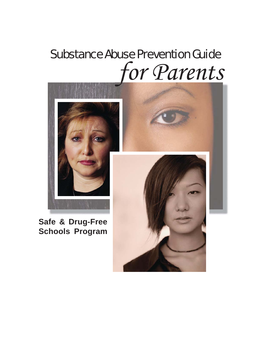# Substance Abuse Prevention Guide *for Parents*



# **Safe & Drug-Free Schools Program**

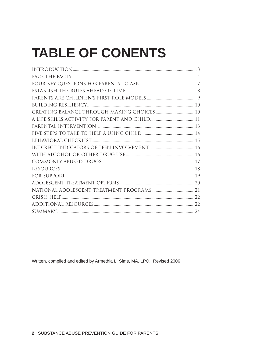# **TABLE OF CONENTS**

| CREATING BALANCE THROUGH MAKING CHOICES  10 |  |
|---------------------------------------------|--|
|                                             |  |
|                                             |  |
|                                             |  |
|                                             |  |
|                                             |  |
|                                             |  |
|                                             |  |
|                                             |  |
|                                             |  |
|                                             |  |
|                                             |  |
|                                             |  |
|                                             |  |
|                                             |  |
|                                             |  |

Written, compiled and edited by Armethia L. Sims, MA, LPO. Revised 2006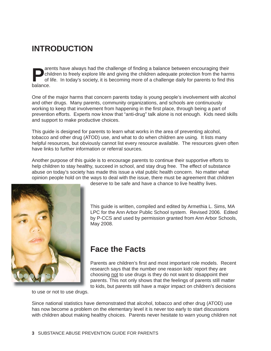### **INTRODUCTION**

**Parents have always had the challenge of finding a balance between encouraging their**<br>children to freely explore life and giving the children adequate protection from the harn<br>of life. In today's society, it is becoming m children to freely explore life and giving the children adequate protection from the harms of life. In today's society, it is becoming more of a challenge daily for parents to find this balance.

One of the major harms that concern parents today is young people's involvement with alcohol and other drugs. Many parents, community organizations, and schools are continuously working to keep that involvement from happening in the first place, through being a part of prevention efforts. Experts now know that "anti-drug" talk alone is not enough. Kids need skills and support to make productive choices.

This guide is designed for parents to learn what works in the area of preventing alcohol, tobacco and other drug (ATOD) use, and what to do when children are using. It lists many helpful resources, but obviously cannot list every resource available. The resources given often have links to further information or referral sources.

Another purpose of this guide is to encourage parents to continue their supportive efforts to help children to stay healthy, succeed in school, and stay drug free. The effect of substance abuse on today's society has made this issue a vital public health concern. No matter what opinion people hold on the ways to deal with the issue, there must be agreement that children



deserve to be safe and have a chance to live healthy lives.

This guide is written, compiled and edited by Armethia L. Sims, MA LPC for the Ann Arbor Public School system. Revised 2006. Edited by P-CCS and used by permission granted from Ann Arbor Schools, May 2008.

### **Face the Facts**

Parents are children's first and most important role models. Recent research says that the number one reason kids' report they are choosing not to use drugs is they do not want to disappoint their parents. This not only shows that the feelings of parents still matter to kids, but parents still have a major impact on children's decisions

to use or not to use drugs.

Since national statistics have demonstrated that alcohol, tobacco and other drug (ATOD) use has now become a problem on the elementary level it is never too early to start discussions with children about making healthy choices. Parents never hesitate to warn young children not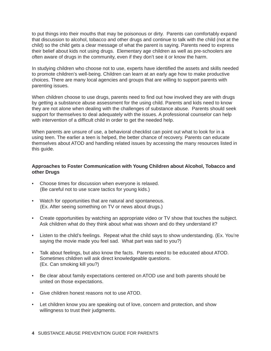to put things into their mouths that may be poisonous or dirty. Parents can comfortably expand that discussion to alcohol, tobacco and other drugs and continue to talk with the child (not at the child) so the child gets a clear message of what the parent is saying. Parents need to express their belief about kids not using drugs. Elementary age children as well as pre-schoolers are often aware of drugs in the community, even if they don't see it or know the harm.

In studying children who choose not to use, experts have identified the assets and skills needed to promote children's well-being. Children can learn at an early age how to make productive choices. There are many local agencies and groups that are willing to support parents with parenting issues.

When children choose to use drugs, parents need to find out how involved they are with drugs by getting a substance abuse assessment for the using child. Parents and kids need to know they are not alone when dealing with the challenges of substance abuse. Parents should seek support for themselves to deal adequately with the issues. A professional counselor can help with intervention of a difficult child in order to get the needed help.

When parents are unsure of use, a behavioral checklist can point out what to look for in a using teen. The earlier a teen is helped, the better chance of recovery. Parents can educate themselves about ATOD and handling related issues by accessing the many resources listed in this guide.

#### **Approaches to Foster Communication with Young Children about Alcohol, Tobacco and other Drugs**

- Choose times for discussion when everyone is relaxed. (Be careful not to use scare tactics for young kids.)
- Watch for opportunities that are natural and spontaneous. (Ex. After seeing something on TV or news about drugs.)
- Create opportunities by watching an appropriate video or TV show that touches the subject. Ask children what do they think about what was shown and do they understand it?
- Listen to the child's feelings. Repeat what the child says to show understanding. (Ex. You're saying the movie made you feel sad. What part was sad to you?)
- Talk about feelings, but also know the facts. Parents need to be educated about ATOD. Sometimes children will ask direct knowledgeable questions. (Ex. Can smoking kill you?) •
- Be clear about family expectations centered on ATOD use and both parents should be united on those expectations.
- Give children honest reasons not to use ATOD.
- Let children know you are speaking out of love, concern and protection, and show willingness to trust their judgments.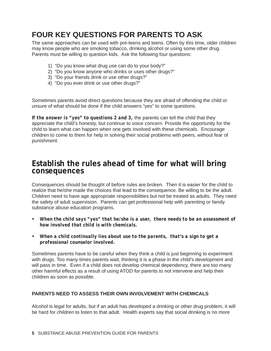### **FOUR KEY QUESTIONS FOR PARENTS TO ASK**

The same approaches can be used with pre-teens and teens. Often by this time, older children may know people who are smoking tobacco, drinking alcohol or using some other drug. Parents must be willing to question kids. Ask the following four questions:

- 1) "Do you know what drug use can do to your body?"
- 2) "Do you know anyone who drinks or uses other drugs?"
- 3) "Do your friends drink or use other drugs?"
- 4) "Do you ever drink or use other drugs?"

Sometimes parents avoid direct questions because they are afraid of offending the child or unsure of what should be done if the child answers "yes" to some questions.

*If the answer is "yes" to questions 2 and 3,* the parents can tell the child that they appreciate the child's honesty, but continue to voice concern. Provide the opportunity for the child to learn what can happen when one gets involved with these chemicals. Encourage children to come to them for help in solving their social problems with peers, without fear of punishment.

### **Establish the rules ahead of time for what will bring consequences**

Consequences should be thought of before rules are broken. Then it is easier for the child to realize that he/she made the choices that lead to the consequence. Be willing to be the adult. Children need to have age appropriate responsibilities but not be treated as adults. They need the safety of adult supervision. Parents can get professional help with parenting or family substance abuse education programs.

- When the child says "yes" that he/she is a user, there needs to be an assessment of *how involved that child is with chemicals.*
- When a child continually lies about use to the parents, that's a sign to get a *professional counselor involved.*

Sometimes parents have to be careful when they think a child is just beginning to experiment with drugs. Too many times parents wait, thinking it is a phase in the child's development and will pass in time. Even if a child does not develop chemical dependency, there are too many other harmful effects as a result of using ATOD for parents to not intervene and help their children as soon as possible.

#### **PARENTS NEED TO ASSESS THEIR OWN INVOLVEMENT WITH CHEMICALS**

Alcohol is legal for adults, but if an adult has developed a drinking or other drug problem, it will be hard for children to listen to that adult. Health experts say that social drinking is no more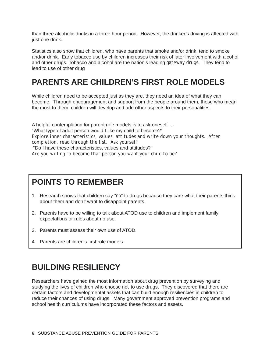than three alcoholic drinks in a three hour period. However, the drinker's driving is affected with just one drink.

Statistics also show that children, who have parents that smoke and/or drink, tend to smoke and/or drink. Early tobacco use by children increases their risk of later involvement with alcohol and other drugs. Tobacco and alcohol are the nation's leading *gateway drugs.* They tend to lead to use of other drug

### **PARENTS ARE CHILDREN'S FIRST ROLE MODELS**

While children need to be accepted just as they are, they need an idea of what they can become. Through encouragement and support from the people around them, those who mean the most to them, children will develop and add other aspects to their personalities.

A helpful contemplation for parent role models is to ask oneself … "What type of adult person would I like my child to become?" *Explore inner characteristics, values, attitudes and write down your thoughts. After completion, read through the list. Ask yourself:* "Do I have these characteristics, values and attitudes?" *Are you willing to become that person you want your child to be?*

### **POINTS TO REMEMBER**

- 1. Research shows that children say "no" to drugs because they care what their parents think about them and don't want to disappoint parents.
- 2. Parents have to be willing to talk about ATOD use to children and implement family expectations or rules about no use.
- Parents must assess their own use of ATOD. 3.
- 4. Parents are children's first role models.

### **BUILDING RESILIENCY**

Researchers have gained the most information about drug prevention by surveying and studying the lives of children who choose *not* to use drugs. They discovered that there are certain factors and developmental assets that can build enough resiliencies in children to reduce their chances of using drugs. Many government approved prevention programs and school health curriculums have incorporated these factors and assets.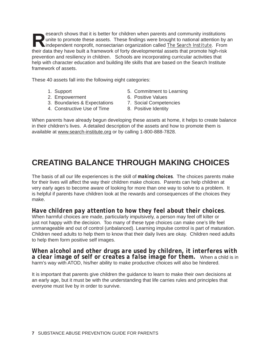**Research shows that it is better for children when parents and community institutions** unite to promote these assets. These findings were brought to national attention by a independent nonprofit, nonsectarian organization unite to promote these assets. These findings were brought to national attention by an their data they have built a framework of forty developmental assets that promote high-risk prevention and resiliency in children. Schools are incorporating curricular activities that help with character education and building life skills that are based on the Search Institute framework of assets.

These 40 assets fall into the following eight categories:

- 
- 2. Empowerment 6. Positive Values
- 3. Boundaries & Expectations 7. Social Competencies
- 4. Constructive Use of Time **8. Positive Identity**
- 1. Support 5. Commitment to Learning
	-
	-
	-

When parents have already begun developing these assets at home, it helps to create balance in their children's lives. A detailed description of the assets and how to promote them is available at www.search-institute.org or by calling 1-800-888-7828.

### **CREATING BALANCE THROUGH MAKING CHOICES**

The basis of all our life experiences is the skill of *making choices*. The choices parents make for their lives will affect the way their children make choices. Parents can help children at very early ages to become aware of looking for more than one way to solve to a problem. It is helpful if parents have children look at the rewards and consequences of the choices they make.

#### *Have children pay attention to how they feel about their choices.*

When harmful choices are made, particularly impulsively, a person may feel off kilter or just not happy with the decision. Too many of these type choices can make one's life feel unmanageable and out of control (unbalanced). Learning impulse control is part of maturation. Children need adults to help them to know that their daily lives are okay. Children need adults to help them form positive self images.

#### *When alcohol and other drugs are used by children, it interferes with a clear image of self or creates a false image for them.* When a child is in harm's way with ATOD, his/her ability to make productive choices will also be hindered.

It is important that parents give children the guidance to learn to make their own decisions at an early age, but it must be with the understanding that life carries rules and principles that everyone must live by in order to survive.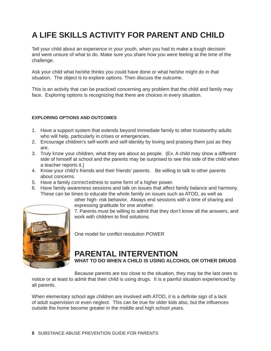# **A LIFE SKILLS ACTIVITY FOR PARENT AND CHILD**

Tell your child about an experience in your youth, when you had to make a tough decision and were unsure of what to do. Make sure you share how you were feeling at the time of the challenge.

Ask your child what he/she thinks you could have done or what he/she might do in that situation. The object is to explore options. Then discuss the outcome.

This is an activity that can be practiced concerning any problem that the child and family may face. Exploring options is recognizing that there are choices in every situation.

#### **EXPLORING OPTIONS AND OUTCOMES**

- 1. Have a support system that extends beyond immediate family to other trustworthy adults who will help, particularly in crises or emergencies.
- 2. Encourage children's self-worth and self-identity by loving and praising them just as they are.
- 3. Truly *know* your children, what they are about as people. (Ex. A child may show a different side of himself at school and the parents may be surprised to see this side of the child when a teacher reports it.)
- 4. Know your child's friends and their friends' parents. Be willing to talk to other parents about concerns.
- 5. Have a family *connectedness* to some form of a higher power.
- 6. Have family awareness sessions and talk on issues that affect family balance and harmony. These can be times to educate the whole family on issues such as ATOD, as well as

other high- risk behavior. Always end sessions with a time of sharing and expressing gratitude for one another.



7. Parents must be willing to admit that they don't know all the answers, and work with children to find solutions.

One model for conflict resolution POWER

# **PARENTAL INTERVENTION**

**WHAT TO DO WHEN A CHILD IS USING ALCOHOL OR OTHER DRUGS**

Because parents are too close to the situation, they may be the last ones to

notice or at least to admit that their child is using drugs. It is a painful situation experienced by all parents.

When elementary school age children are involved with ATOD, it is a definite sign of a lack of adult supervision or even neglect. This can be true for older kids also, but the influences outside the home become greater in the middle and high school years.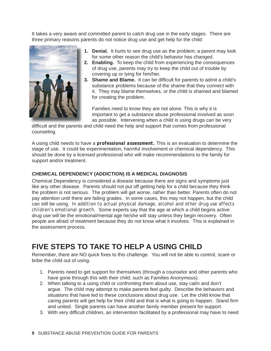It takes a very aware and committed parent to catch drug use in the early stages. There are three primary reasons parents do not notice drug use and get help for the child:



- **Denial.** It hurts to see drug use as the problem; a parent may look **1.** for some other reason the child's behavior has changed.
- **Enabling.** To keep the child from experiencing the consequences **2.** of drug use, parents may try to keep the child out of trouble by covering up or lying for him/her.
- 3. Shame and Blame. It can be difficult for parents to admit a child's substance problems because of the shame that they connect with it. They may blame themselves, or the child is shamed and blamed for creating the problem.

Families need to know they are not alone. This is why it is important to get a substance abuse professional involved as soon as possible. Intervening when a child is using drugs can be very

difficult and the parents and child need the help and support that comes from professional counseling.

A using child needs to have a *professional assessment.* This is an evaluation to determine the stage of use. It could be experimentation, harmful involvement or chemical dependency. This should be done by a licensed professional who will make recommendations to the family for support and/or treatment.

#### **CHEMICAL DEPENDENCY (ADDICTION) IS A MEDICAL DIAGNOSIS**

Chemical Dependency is considered a disease because there are signs and symptoms just like any other disease. Parents should not put off getting help for a child because they think the problem is not serious. The problem will get worse, rather than better. Parents often do not pay attention until there are failing grades. In some cases, this may not happen, but the child can still be using. *In addition to actual physical damage, alcohol and other drug use affects children's emotional growth.* Some experts say that the age at which a child begins active drug use will be the emotional/mental age he/she will stay unless they begin recovery. Often people are afraid of treatment because they do not know what it involves. This is explained in the assessment process.

### **FIVE STEPS TO TAKE TO HELP A USING CHILD**

Remember, there are NO quick fixes to this challenge. You will not be able to control, scare or bribe the child out of using.

- 1. Parents need to get support for themselves (through a counselor and other parents who have gone through this with their child, such as Families Anonymous).
- 2. When talking to a using child or confronting them about use, stay calm and don't argue. The child may attempt to make parents feel guilty. Describe the behaviors and situations that have led to these conclusions about drug use. Let the child know that caring parents will get help for their child and that is what is going to happen. Stand firm and united. Single parents can have another family member present for support.
- 3. With very difficult children, an intervention facilitated by a professional may have to need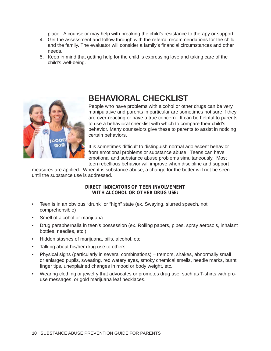place. A counselor may help with breaking the child's resistance to therapy or support.

- 4. Get the assessment and follow through with the referral recommendations for the child and the family. The evaluator will consider a family's financial circumstances and other needs.
- 5. Keep in mind that getting help for the child is expressing love and taking care of the child's well-being.



### **BEHAVIORAL CHECKLIST**

People who have problems with alcohol or other drugs can be very manipulative and parents in particular are sometimes not sure if they are over-reacting or have a true concern. It can be helpful to parents to use a behavioral checklist with which to compare their child's behavior. Many counselors give these to parents to assist in noticing certain behaviors.

It is sometimes difficult to distinguish normal adolescent behavior from emotional problems or substance abuse. Teens can have emotional and substance abuse problems simultaneously. Most teen rebellious behavior will improve when discipline and support

measures are applied. When it is substance abuse, a change for the better will not be seen until the substance use is addressed.

> *DIRECT INDICATORS OF TEEN INVOLVEMENT WITH ALCOHOL OR OTHER DRUG USE:*

- Teen is in an obvious "drunk" or "high" state (ex. Swaying, slurred speech, not comprehensible) •
- Smell of alcohol or marijuana
- Drug paraphernalia in teen's possession (ex. Rolling papers, pipes, spray aerosols, inhalant bottles, needles, etc.) •
- Hidden stashes of marijuana, pills, alcohol, etc.
- Talking about his/her drug use to others •
- Physical signs (particularly in several combinations) tremors, shakes, abnormally small or enlarged pupils, sweating, red watery eyes, smoky chemical smells, needle marks, burnt finger tips, unexplained changes in mood or body weight, etc. •
- Wearing clothing or jewelry that advocates or promotes drug use, such as T-shirts with prouse messages, or gold marijuana leaf necklaces. •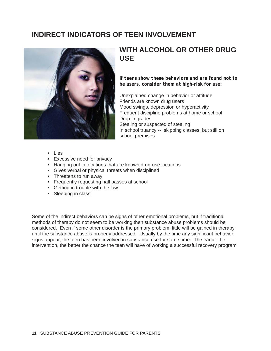### **INDIRECT INDICATORS OF TEEN INVOLVEMENT**



### **WITH ALCOHOL OR OTHER DRUG USE**

*If teens show these behaviors and are found not to be users, consider them at high-risk for use:*

Unexplained change in behavior or attitude Friends are known drug users Mood swings, depression or hyperactivity Frequent discipline problems at home or school Drop in grades Stealing or suspected of stealing In school truancy -- skipping classes, but still on school premises

- Lies •
- Excessive need for privacy
- Hanging out in locations that are known drug-use locations
- Gives verbal or physical threats when disciplined
- Threatens to run away
- Frequently requesting hall passes at school
- Getting in trouble with the law
- Sleeping in class

Some of the indirect behaviors can be signs of other emotional problems, but if traditional methods of therapy do not seem to be working then substance abuse problems should be considered. Even if some other disorder is the primary problem, little will be gained in therapy until the substance abuse is properly addressed. Usually by the time any significant behavior signs appear, the teen has been involved in substance use for some time. The earlier the intervention, the better the chance the teen will have of working a successful recovery program.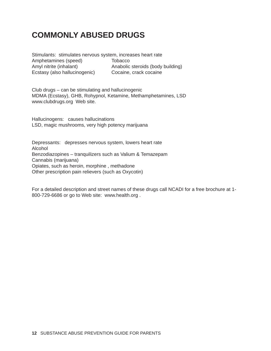### **COMMONLY ABUSED DRUGS**

Stimulants: stimulates nervous system, increases heart rate Amphetamines (speed) Tobacco Amyl nitrite (inhalant) Anabolic steroids (body building) Ecstasy (also hallucinogenic) Cocaine, crack cocaine

Club drugs – can be stimulating and hallucinogenic MDMA (Ecstasy), GHB, Rohypnol, Ketamine, Methamphetamines, LSD www.clubdrugs.org Web site.

Hallucinogens: causes hallucinations LSD, magic mushrooms, very high potency marijuana

Depressants: depresses nervous system, lowers heart rate Alcohol Benzodiazopines – tranquilizers such as Valium & Temazepam Cannabis (marijuana) Opiates, such as heroin, morphine , methadone Other prescription pain relievers (such as Oxycotin)

For a detailed description and street names of these drugs call NCADI for a free brochure at 1- 800-729-6686 or go to Web site: www.health.org .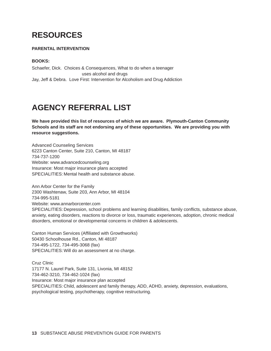# **RESOURCES**

#### **PARENTAL INTERVENTION**

#### **BOOKS:**

Schaefer, Dick. Choices & Consequences, What to do when a teenager uses alcohol and drugs Jay, Jeff & Debra. Love First: Intervention for Alcoholism and Drug Addiction

## **AGENCY REFERRAL LIST**

**We have provided this list of resources of which we are aware. Plymouth-Canton Community Schools and its staff are not endorsing any of these opportunities. We are providing you with resource suggestions.**

Advanced Counseling Services 6223 Canton Center, Suite 210, Canton, MI 48187 734-737-1200 Website: www.advancedcounseling.org Insurance: Most major insurance plans accepted SPECIALITIES: Mental health and substance abuse.

Ann Arbor Center for the Family 2300 Washtenaw, Suite 203, Ann Arbor, MI 48104 734-995-5181 Website: www.annarborcenter.com SPECIALITIES: Depression, school problems and learning disabilities, family conflicts, substance abuse, anxiety, eating disorders, reactions to divorce or loss, traumatic experiences, adoption, chronic medical disorders, emotional or developmental concerns in children & adolescents.

Canton Human Services (Affiliated with Growthworks) 50430 Schoolhouse Rd., Canton, MI 48187 734-495-1722, 734-495-3068 (fax) SPECIALITIES: Will do an assessment at no charge.

Cruz Clinic 17177 N. Laurel Park, Suite 131, Livonia, MI 48152 734-462-3210, 734-462-1024 (fax) Insurance: Most major insurance plan accepted SPECIALITIES: Child, adolescent and family therapy, ADD, ADHD, anxiety, depression, evaluations, psychological testing, psychotherapy, cognitive restructuring.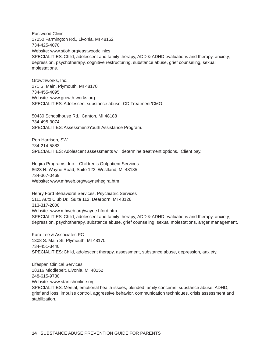Eastwood Clinic 17250 Farmington Rd., Livonia, MI 48152 734-425-4070 Website: www.stjoh.org/eastwoodclinics SPECIALITIES: Child, adolescent and family therapy, ADD & ADHD evaluations and therapy, anxiety, depression, psychotherapy, cognitive restructuring, substance abuse, grief counseling, sexual molestations.

Growthworks, Inc. 271 S. Main, Plymouth, MI 48170 734-455-4095 Website: www.growth-works.org SPECIALITIES: Adolescent substance abuse. CD Treatment/CMO.

50430 Schoolhouse Rd., Canton, MI 48188 734-495-3074 SPECIALITIES: Assessment/Youth Assistance Program.

Ron Harrison, SW 734-214-5883 SPECIALITIES: Adolescent assessments will determine treatment options. Client pay.

Hegira Programs, Inc. - Children's Outpatient Services 8623 N. Wayne Road, Suite 123, Westland, MI 48185 734-367-0469 Website: www.mhweb.org/wayne/hegira.htm

Henry Ford Behavioral Services, Psychiatric Services 5111 Auto Club Dr., Suite 112, Dearborn, MI 48126 313-317-2000 Website: www.mhweb.org/wayne.hford.htm SPECIALITIES: Child, adolescent and family therapy, ADD & ADHD evaluations and therapy, anxiety, depression, psychotherapy, substance abuse, grief counseling, sexual molestations, anger management.

Kara Lee & Associates PC 1308 S. Main St, Plymouth, MI 48170 734-451-3440 SPECIALITIES: Child, adolescent therapy, assessment, substance abuse, depression, anxiety.

Lifespan Clinical Services 18316 Middlebelt, Livonia, MI 48152 248-615-9730 Website: www.starfishonline.org SPECIALITIES: Mental, emotional health issues, blended family concerns, substance abuse, ADHD,

grief and loss, impulse control, aggressive behavior, communication techniques, crisis assessment and stabilization.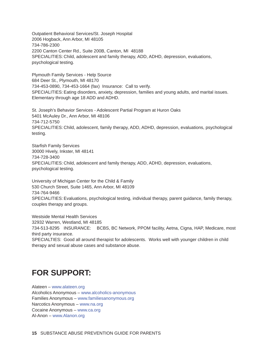Outpatient Behavioral Services/St. Joseph Hospital 2006 Hogback, Ann Arbor, MI 48105 734-786-2300 2200 Canton Center Rd., Suite 200B, Canton, MI 48188 SPECIALITIES: Child, adolescent and family therapy, ADD, ADHD, depression, evaluations, psychological testing.

Plymouth Family Services - Help Source 684 Deer St., Plymouth, MI 48170 734-453-0890, 734-453-1664 (fax) Insurance: Call to verify. SPECIALITIES: Eating disorders, anxiety, depression, families and young adults, and marital issues. Elementary through age 18 ADD and ADHD.

St. Joseph's Behavior Services - Adolescent Partial Program at Huron Oaks 5401 McAuley Dr., Ann Arbor, MI 48106 734-712-5750 SPECIALITIES: Child, adolescent, family therapy, ADD, ADHD, depression, evaluations, psychological testing.

Starfish Family Services 30000 Hively, Inkster, MI 48141 734-728-3400 SPECIALITIES: Child, adolescent and family therapy, ADD, ADHD, depression, evaluations, psychological testing.

University of Michigan Center for the Child & Family 530 Church Street, Suite 1465, Ann Arbor, MI 48109 734-764-9466 SPECIALITIES: Evaluations, psychological testing, individual therapy, parent guidance, family therapy, couples therapy and groups.

Westside Mental Health Services 32932 Warren, Westland, MI 48185 734-513-8295 INSURANCE: BCBS, BC Network, PPOM facility, Aetna, Cigna, HAP, Medicare, most third party insurance.

SPECIALTIES: Good all around therapist for adolescents. Works well with younger children in child therapy and sexual abuse cases and substance abuse.

### **FOR SUPPORT:**

Alateen – www.alateen.org Alcoholics Anonymous – www.alcoholics-anonymous Families Anonymous – www.familiesanonymous.org Narcotics Anonymous – www.na.org Cocaine Anonymous – www.ca.org Al-Anon – www.Alanon.org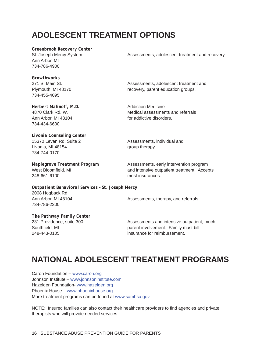### **ADOLESCENT TREATMENT OPTIONS**

*Greenbrook Recovery Center*  Ann Arbor, MI 734-786-4900

St. Joseph Mercy System Assessments, adolescent treatment and recovery.

*Growthworks*  734-455-4095

*Herbert Malinoff, M.D.* Addiction Medicine Ann Arbor, MI 48104 **for addictive disorders.** 734-434-6600

*Livonia Counseling Center* Livonia, MI 48154 Group therapy. 734-744-0170

248-661-6100 most insurances.

*Outpatient Behavioral Services – St. Joseph Mercy* 2008 Hogback Rd. Ann Arbor, MI 48104 **Assessments**, therapy, and referrals. 734-786-2300

271 S. Main St. Assessments, adolescent treatment and Plymouth, MI 48170 recovery, parent education groups.

4870 Clark Rd. W. Medical assessments and referrals

15370 Levan Rd. Suite 2 **Assessments**, individual and

*Maplegrove Treatment Program* Assessments, early intervention program West Bloomfield. MI and intensive outpatient treatment. Accepts

*The Pathway Family Center*

231 Providence, suite 300 Assessments and intensive outpatient, much Southfield, MI **parent involvement.** Family must bill 248-443-0105 insurance for reimbursement.

### **NATIONAL ADOLESCENT TREATMENT PROGRAMS**

Caron Foundation – www.caron.org Johnson Institute – www.johnsoninstitute.com Hazelden Foundation- www.hazelden.org Phoenix House – www.phoenixhouse.org More treatment programs can be found at www.samhsa.gov

NOTE: Insured families can also contact their healthcare providers to find agencies and private therapists who will provide needed services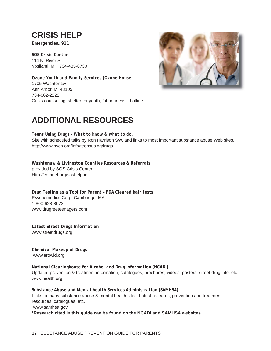# **CRISIS HELP**

*Emergencies…911*

*SOS Crisis Center* 114 N. River St. Ypsilanti, MI 734-485-8730

*Ozone Youth and Family Services (Ozone House)* 1705 Washtenaw Ann Arbor, MI 48105 734-662-2222 Crisis counseling, shelter for youth, 24 hour crisis hotline



### **ADDITIONAL RESOURCES**

*Teens Using Drugs – What to know & what to do.* Site with scheduled talks by Ron Harrison SW, and links to most important substance abuse Web sites. http://www.hvcn.org/info/teensusingdrugs

*Washtenaw & Livingston Counties Resources & Referrals* provided by SOS Crisis Center Http://comnet.org/soshelpnet

*Drug Testing as a Tool for Parent – FDA Cleared hair tests* Psychomedics Corp. Cambridge, MA 1-800-628-8073 www.drugreeteenagers.com

*Latest Street Drugs Information* www.streetdrugs.org

*Chemical Makeup of Drugs* www.erowid.org

*National Clearinghouse for Alcohol and Drug Information (NCADI)* Updated prevention & treatment information, catalogues, brochures, videos, posters, street drug info. etc. www.health.org

*Substance Abuse and Mental health Services Administration (SAMHSA)*  Links to many substance abuse & mental health sites. Latest research, prevention and treatment resources, catalogues, etc.

www.samhsa.gov

**\*Research cited in this guide can be found on the NCADI and SAMHSA websites.**